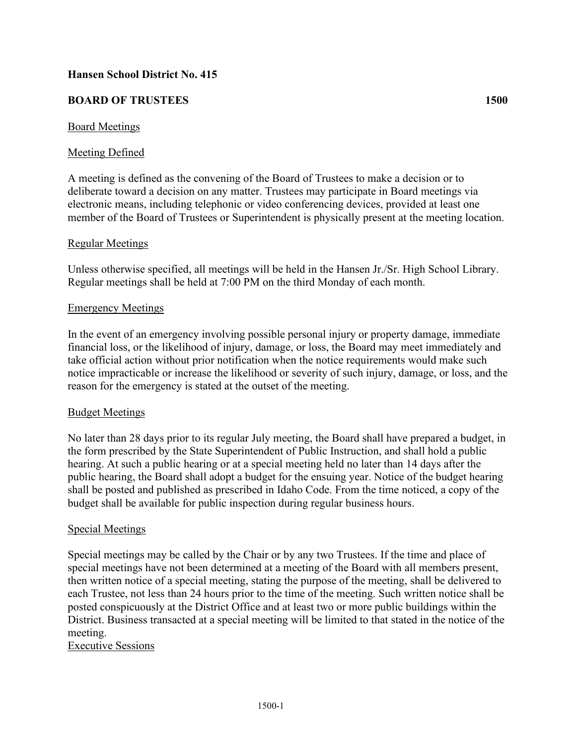# **Hansen School District No. 415**

## **BOARD OF TRUSTEES 1500**

### Board Meetings

## Meeting Defined

A meeting is defined as the convening of the Board of Trustees to make a decision or to deliberate toward a decision on any matter. Trustees may participate in Board meetings via electronic means, including telephonic or video conferencing devices, provided at least one member of the Board of Trustees or Superintendent is physically present at the meeting location.

### Regular Meetings

Unless otherwise specified, all meetings will be held in the Hansen Jr./Sr. High School Library. Regular meetings shall be held at 7:00 PM on the third Monday of each month.

### Emergency Meetings

In the event of an emergency involving possible personal injury or property damage, immediate financial loss, or the likelihood of injury, damage, or loss, the Board may meet immediately and take official action without prior notification when the notice requirements would make such notice impracticable or increase the likelihood or severity of such injury, damage, or loss, and the reason for the emergency is stated at the outset of the meeting.

#### Budget Meetings

No later than 28 days prior to its regular July meeting, the Board shall have prepared a budget, in the form prescribed by the State Superintendent of Public Instruction, and shall hold a public hearing. At such a public hearing or at a special meeting held no later than 14 days after the public hearing, the Board shall adopt a budget for the ensuing year. Notice of the budget hearing shall be posted and published as prescribed in Idaho Code. From the time noticed, a copy of the budget shall be available for public inspection during regular business hours.

#### Special Meetings

Special meetings may be called by the Chair or by any two Trustees. If the time and place of special meetings have not been determined at a meeting of the Board with all members present, then written notice of a special meeting, stating the purpose of the meeting, shall be delivered to each Trustee, not less than 24 hours prior to the time of the meeting. Such written notice shall be posted conspicuously at the District Office and at least two or more public buildings within the District. Business transacted at a special meeting will be limited to that stated in the notice of the meeting.

Executive Sessions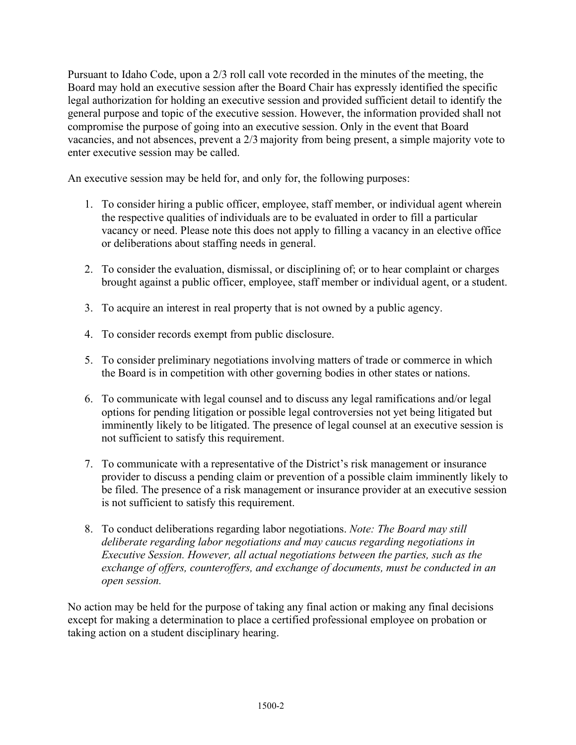Pursuant to Idaho Code, upon a 2/3 roll call vote recorded in the minutes of the meeting, the Board may hold an executive session after the Board Chair has expressly identified the specific legal authorization for holding an executive session and provided sufficient detail to identify the general purpose and topic of the executive session. However, the information provided shall not compromise the purpose of going into an executive session. Only in the event that Board vacancies, and not absences, prevent a 2/3 majority from being present, a simple majority vote to enter executive session may be called.

An executive session may be held for, and only for, the following purposes:

- 1. To consider hiring a public officer, employee, staff member, or individual agent wherein the respective qualities of individuals are to be evaluated in order to fill a particular vacancy or need. Please note this does not apply to filling a vacancy in an elective office or deliberations about staffing needs in general.
- 2. To consider the evaluation, dismissal, or disciplining of; or to hear complaint or charges brought against a public officer, employee, staff member or individual agent, or a student.
- 3. To acquire an interest in real property that is not owned by a public agency.
- 4. To consider records exempt from public disclosure.
- 5. To consider preliminary negotiations involving matters of trade or commerce in which the Board is in competition with other governing bodies in other states or nations.
- 6. To communicate with legal counsel and to discuss any legal ramifications and/or legal options for pending litigation or possible legal controversies not yet being litigated but imminently likely to be litigated. The presence of legal counsel at an executive session is not sufficient to satisfy this requirement.
- 7. To communicate with a representative of the District's risk management or insurance provider to discuss a pending claim or prevention of a possible claim imminently likely to be filed. The presence of a risk management or insurance provider at an executive session is not sufficient to satisfy this requirement.
- 8. To conduct deliberations regarding labor negotiations. *Note: The Board may still deliberate regarding labor negotiations and may caucus regarding negotiations in Executive Session. However, all actual negotiations between the parties, such as the exchange of offers, counteroffers, and exchange of documents, must be conducted in an open session.*

No action may be held for the purpose of taking any final action or making any final decisions except for making a determination to place a certified professional employee on probation or taking action on a student disciplinary hearing.